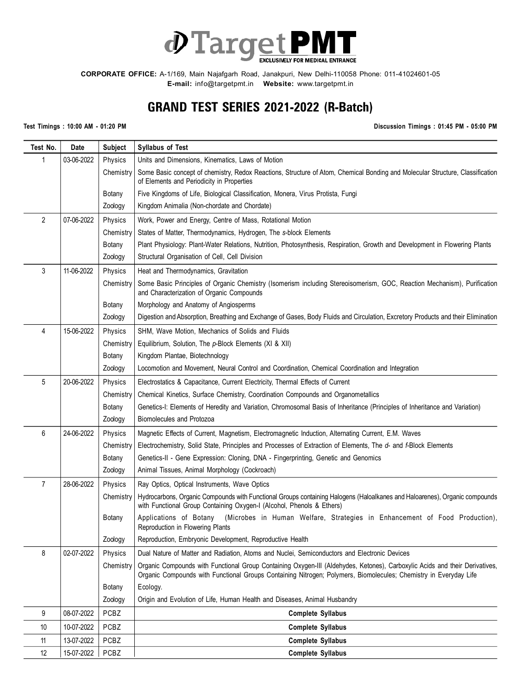

**CORPORATE OFFICE:** A-1/169, Main Najafgarh Road, Janakpuri, New Delhi-110058 Phone: 011-41024601-05 **E-mail:** info@targetpmt.in **Website:** www.targetpmt.in

## **GRAND TEST SERIES 2021-2022 (R-Batch)**

**Test Timings : 10:00 AM - 01:20 PM Discussion Timings : 01:45 PM - 05:00 PM**

| Test No.       | Date       | <b>Subject</b> | <b>Syllabus of Test</b>                                                                                                                                                                                                                         |
|----------------|------------|----------------|-------------------------------------------------------------------------------------------------------------------------------------------------------------------------------------------------------------------------------------------------|
| 1              | 03-06-2022 | Physics        | Units and Dimensions, Kinematics, Laws of Motion                                                                                                                                                                                                |
|                |            | Chemistry      | Some Basic concept of chemistry, Redox Reactions, Structure of Atom, Chemical Bonding and Molecular Structure, Classification<br>of Elements and Periodicity in Properties                                                                      |
|                |            | Botany         | Five Kingdoms of Life, Biological Classification, Monera, Virus Protista, Fungi                                                                                                                                                                 |
|                |            | Zoology        | Kingdom Animalia (Non-chordate and Chordate)                                                                                                                                                                                                    |
| $\overline{2}$ | 07-06-2022 | Physics        | Work, Power and Energy, Centre of Mass, Rotational Motion                                                                                                                                                                                       |
|                |            | Chemistry      | States of Matter, Thermodynamics, Hydrogen, The s-block Elements                                                                                                                                                                                |
|                |            | Botany         | Plant Physiology: Plant-Water Relations, Nutrition, Photosynthesis, Respiration, Growth and Development in Flowering Plants                                                                                                                     |
|                |            | Zoology        | Structural Organisation of Cell, Cell Division                                                                                                                                                                                                  |
| 3              | 11-06-2022 | Physics        | Heat and Thermodynamics, Gravitation                                                                                                                                                                                                            |
|                |            | Chemistry      | Some Basic Principles of Organic Chemistry (Isomerism including Stereoisomerism, GOC, Reaction Mechanism), Purification<br>and Characterization of Organic Compounds                                                                            |
|                |            | Botany         | Morphology and Anatomy of Angiosperms                                                                                                                                                                                                           |
|                |            | Zoology        | Digestion and Absorption, Breathing and Exchange of Gases, Body Fluids and Circulation, Excretory Products and their Elimination                                                                                                                |
| 4              | 15-06-2022 | Physics        | SHM, Wave Motion, Mechanics of Solids and Fluids                                                                                                                                                                                                |
|                |            | Chemistry      | Equilibrium, Solution, The p-Block Elements (XI & XII)                                                                                                                                                                                          |
|                |            | Botany         | Kingdom Plantae, Biotechnology                                                                                                                                                                                                                  |
|                |            | Zoology        | Locomotion and Movement, Neural Control and Coordination, Chemical Coordination and Integration                                                                                                                                                 |
| 5              | 20-06-2022 | Physics        | Electrostatics & Capacitance, Current Electricity, Thermal Effects of Current                                                                                                                                                                   |
|                |            | Chemistry      | Chemical Kinetics, Surface Chemistry, Coordination Compounds and Organometallics                                                                                                                                                                |
|                |            | Botany         | Genetics-I: Elements of Heredity and Variation, Chromosomal Basis of Inheritance (Principles of Inheritance and Variation)                                                                                                                      |
|                |            | Zoology        | Biomolecules and Protozoa                                                                                                                                                                                                                       |
| 6              | 24-06-2022 | Physics        | Magnetic Effects of Current, Magnetism, Electromagnetic Induction, Alternating Current, E.M. Waves                                                                                                                                              |
|                |            | Chemistry      | Electrochemistry, Solid State, Principles and Processes of Extraction of Elements, The d- and f-Block Elements                                                                                                                                  |
|                |            | Botany         | Genetics-II - Gene Expression: Cloning, DNA - Fingerprinting, Genetic and Genomics                                                                                                                                                              |
|                |            | Zoology        | Animal Tissues, Animal Morphology (Cockroach)                                                                                                                                                                                                   |
| $\overline{7}$ | 28-06-2022 | Physics        | Ray Optics, Optical Instruments, Wave Optics                                                                                                                                                                                                    |
|                |            | Chemistry      | Hydrocarbons, Organic Compounds with Functional Groups containing Halogens (Haloalkanes and Haloarenes), Organic compounds<br>with Functional Group Containing Oxygen-I (Alcohol, Phenols & Ethers)                                             |
|                |            | Botany         | Applications of Botany<br>(Microbes in Human Welfare, Strategies in Enhancement of Food Production),<br>Reproduction in Flowering Plants                                                                                                        |
|                |            | Zoology        | Reproduction, Embryonic Development, Reproductive Health                                                                                                                                                                                        |
| 8              | 02-07-2022 | Physics        | Dual Nature of Matter and Radiation, Atoms and Nuclei, Semiconductors and Electronic Devices                                                                                                                                                    |
|                |            | Chemistry      | Organic Compounds with Functional Group Containing Oxygen-III (Aldehydes, Ketones), Carboxylic Acids and their Derivatives,<br>Organic Compounds with Functional Groups Containing Nitrogen; Polymers, Biomolecules; Chemistry in Everyday Life |
|                |            | Botany         | Ecology.                                                                                                                                                                                                                                        |
|                |            | Zoology        | Origin and Evolution of Life, Human Health and Diseases, Animal Husbandry                                                                                                                                                                       |
| 9              | 08-07-2022 | PCBZ           | <b>Complete Syllabus</b>                                                                                                                                                                                                                        |
| 10             | 10-07-2022 | PCBZ           | <b>Complete Syllabus</b>                                                                                                                                                                                                                        |
| 11             | 13-07-2022 | PCBZ           | <b>Complete Syllabus</b>                                                                                                                                                                                                                        |
| 12             | 15-07-2022 | PCBZ           | <b>Complete Syllabus</b>                                                                                                                                                                                                                        |